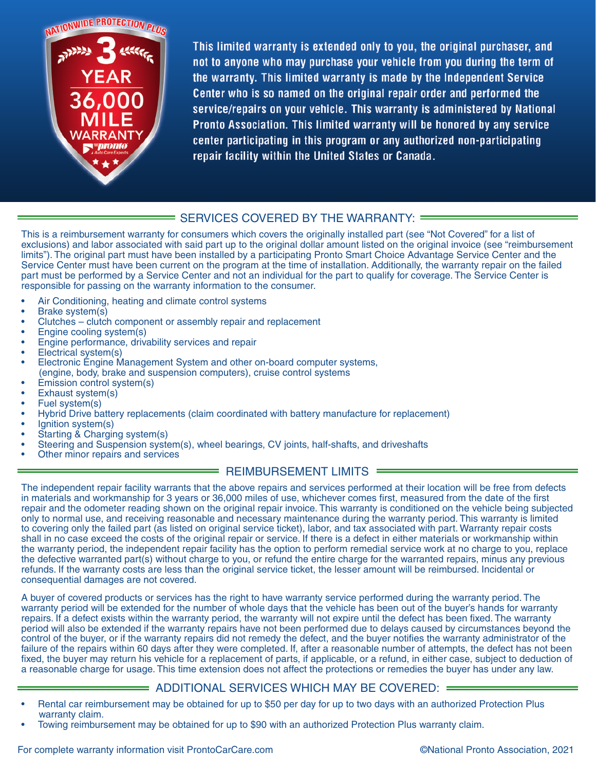

This limited warranty is extended only to you, the original purchaser, and not to anyone who may purchase your vehicle from you during the term of the warranty. This limited warranty is made by the Independent Service Center who is so named on the original repair order and performed the service/repairs on your vehicle. This warranty is administered by National Pronto Association. This limited warranty will be honored by any service center participating in this program or any authorized non-participating repair facility within the United States or Canada.

### SERVICES COVERED BY THE WARRANTY:

This is a reimbursement warranty for consumers which covers the originally installed part (see "Not Covered" for a list of exclusions) and labor associated with said part up to the original dollar amount listed on the original invoice (see "reimbursement limits"). The original part must have been installed by a participating Pronto Smart Choice Advantage Service Center and the Service Center must have been current on the program at the time of installation. Additionally, the warranty repair on the failed part must be performed by a Service Center and not an individual for the part to qualify for coverage. The Service Center is responsible for passing on the warranty information to the consumer.

- Air Conditioning, heating and climate control systems
- Brake system(s)
- Clutches clutch component or assembly repair and replacement
- Engine cooling system(s)
- Engine performance, drivability services and repair
- Electrical system(s)
- Electronic Engine Management System and other on-board computer systems, (engine, body, brake and suspension computers), cruise control systems
- Emission control system(s)
- Exhaust system(s)
- Fuel system(s)
- Hybrid Drive battery replacements (claim coordinated with battery manufacture for replacement)
- lgnition system(s)
- Starting & Charging system(s)
- Steering and Suspension system(s), wheel bearings, CV joints, half-shafts, and driveshafts
- Other minor repairs and services

#### **ENEXAGEMENT LIMITS =**

The independent repair facility warrants that the above repairs and services performed at their location will be free from defects in materials and workmanship for 3 years or 36,000 miles of use, whichever comes first, measured from the date of the first repair and the odometer reading shown on the original repair invoice. This warranty is conditioned on the vehicle being subjected only to normal use, and receiving reasonable and necessary maintenance during the warranty period. This warranty is limited to covering only the failed part (as listed on original service ticket), labor, and tax associated with part. Warranty repair costs shall in no case exceed the costs of the original repair or service. If there is a defect in either materials or workmanship within the warranty period, the independent repair facility has the option to perform remedial service work at no charge to you, replace the defective warranted part(s) without charge to you, or refund the entire charge for the warranted repairs, minus any previous refunds. If the warranty costs are less than the original service ticket, the lesser amount will be reimbursed. Incidental or consequential damages are not covered.

A buyer of covered products or services has the right to have warranty service performed during the warranty period. The warranty period will be extended for the number of whole days that the vehicle has been out of the buyer's hands for warranty repairs. If a defect exists within the warranty period, the warranty will not expire until the defect has been fixed. The warranty period will also be extended if the warranty repairs have not been performed due to delays caused by circumstances beyond the control of the buyer, or if the warranty repairs did not remedy the defect, and the buyer notifies the warranty administrator of the failure of the repairs within 60 days after they were completed. If, after a reasonable number of attempts, the defect has not been fixed, the buyer may return his vehicle for a replacement of parts, if applicable, or a refund, in either case, subject to deduction of a reasonable charge for usage. This time extension does not affect the protections or remedies the buyer has under any law.

### ADDITIONAL SERVICES WHICH MAY BE COVERED:

- Rental car reimbursement may be obtained for up to \$50 per day for up to two days with an authorized Protection Plus warranty claim.
- Towing reimbursement may be obtained for up to \$90 with an authorized Protection Plus warranty claim.